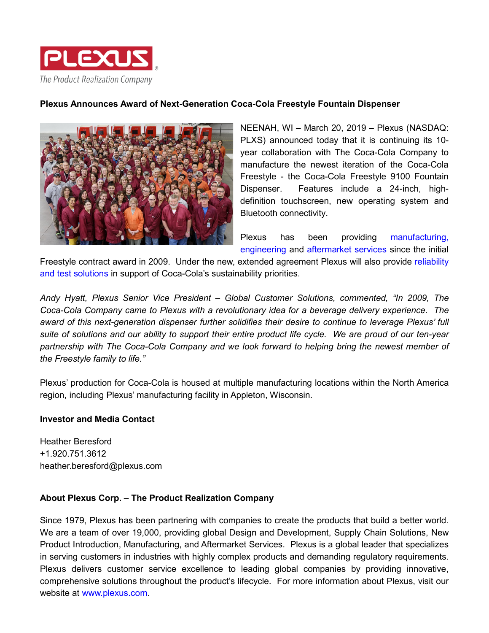

## **Plexus Announces Award of Next-Generation Coca-Cola Freestyle Fountain Dispenser**



NEENAH, WI – March 20, 2019 – Plexus (NASDAQ: PLXS) announced today that it is continuing its 10 year collaboration with The Coca-Cola Company to manufacture the newest iteration of the Coca-Cola Freestyle - the Coca-Cola Freestyle 9100 Fountain Dispenser. Features include a 24-inch, highdefinition touchscreen, new operating system and Bluetooth connectivity.

Plexus has been providing [manufacturing,](https://www.plexus.com/en-us/solutions#Manufacturing) [engineering](https://www.plexus.com/en-us/solutions#Design-Development) and [aftermarket services](https://www.plexus.com/en-us/solutions#Aftermarket-Services) since the initial

Freestyle contract award in 2009. Under the new, extended agreement Plexus will also provide [reliability](https://www.plexus.com/en-us/solutions#New-Product-Introduction)  [and test solutions](https://www.plexus.com/en-us/solutions#New-Product-Introduction) in support of Coca-Cola's sustainability priorities.

*Andy Hyatt, Plexus Senior Vice President – Global Customer Solutions, commented, "In 2009, The Coca-Cola Company came to Plexus with a revolutionary idea for a beverage delivery experience. The award of this next-generation dispenser further solidifies their desire to continue to leverage Plexus' full suite of solutions and our ability to support their entire product life cycle. We are proud of our ten-year partnership with The Coca-Cola Company and we look forward to helping bring the newest member of the Freestyle family to life."*

Plexus' production for Coca-Cola is housed at multiple manufacturing locations within the North America region, including Plexus' manufacturing facility in Appleton, Wisconsin.

## **Investor and Media Contact**

Heather Beresford +1.920.751.3612 heather.beresford@plexus.com

## **About Plexus Corp. – The Product Realization Company**

Since 1979, Plexus has been partnering with companies to create the products that build a better world. We are a team of over 19,000, providing global Design and Development, Supply Chain Solutions, New Product Introduction, Manufacturing, and Aftermarket Services. Plexus is a global leader that specializes in serving customers in industries with highly complex products and demanding regulatory requirements. Plexus delivers customer service excellence to leading global companies by providing innovative, comprehensive solutions throughout the product's lifecycle. For more information about Plexus, visit our website at [www.plexus.com.](file://NA/NeenData/Corporate/Department/Marketing/Branding%20and%20Communications/02%20Comms/Public%20&%20Media%20Relations/Media%20Relations%20Activities/2019/Coke%20Next%20Gen%20Dispenser/www.plexus.com)